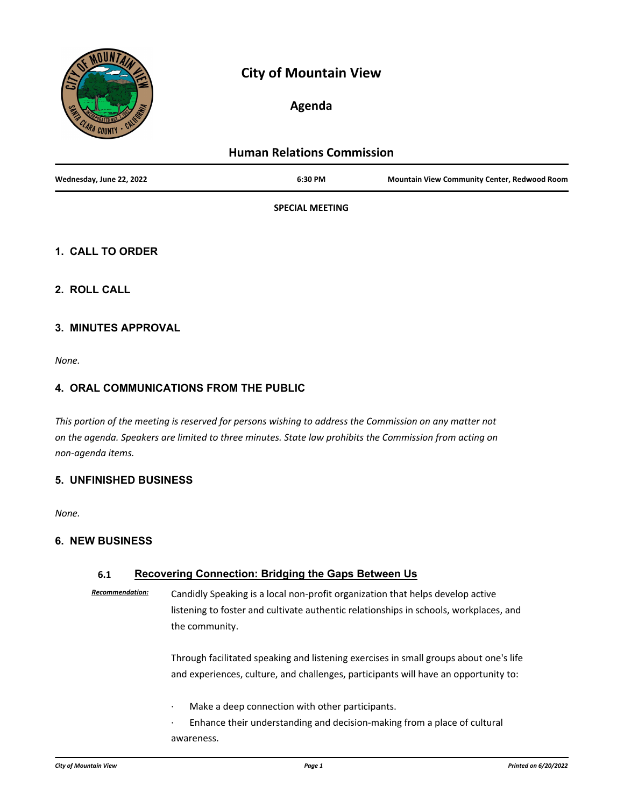

# **City of Mountain View**

## **Agenda**

| <b>Human Relations Commission</b> |                        |                                                     |
|-----------------------------------|------------------------|-----------------------------------------------------|
| Wednesday, June 22, 2022          | 6:30 PM                | <b>Mountain View Community Center, Redwood Room</b> |
|                                   | <b>SPECIAL MEETING</b> |                                                     |

### **1. CALL TO ORDER**

**2. ROLL CALL**

#### **3. MINUTES APPROVAL**

*None.*

### **4. ORAL COMMUNICATIONS FROM THE PUBLIC**

*This portion of the meeting is reserved for persons wishing to address the Commission on any matter not on the agenda. Speakers are limited to three minutes. State law prohibits the Commission from acting on non-agenda items.*

#### **5. UNFINISHED BUSINESS**

*None.*

### **6. NEW BUSINESS**

#### **6.1 Recovering Connection: Bridging the Gaps Between Us**

*Recommendation:* Candidly Speaking is a local non-profit organization that helps develop active listening to foster and cultivate authentic relationships in schools, workplaces, and the community.

> Through facilitated speaking and listening exercises in small groups about one's life and experiences, culture, and challenges, participants will have an opportunity to:

- Make a deep connection with other participants.
- Enhance their understanding and decision-making from a place of cultural awareness.